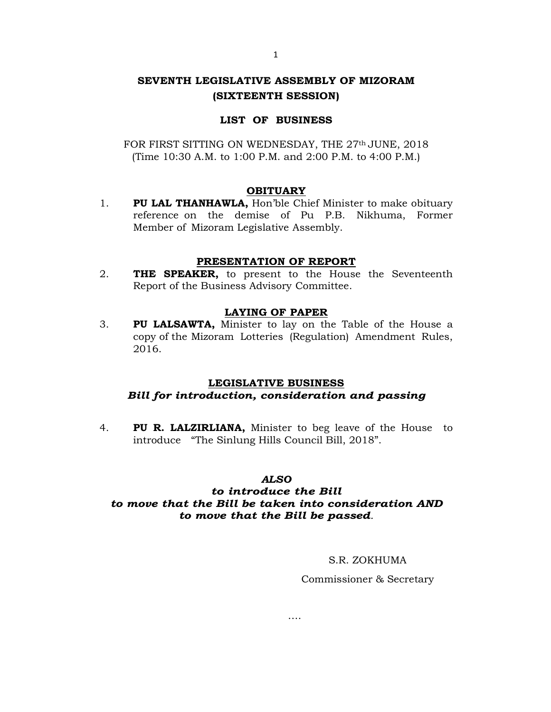# **SEVENTH LEGISLATIVE ASSEMBLY OF MIZORAM (SIXTEENTH SESSION)**

## **LIST OF BUSINESS**

FOR FIRST SITTING ON WEDNESDAY, THE 27<sup>th</sup> JUNE, 2018 (Time 10:30 A.M. to 1:00 P.M. and 2:00 P.M. to 4:00 P.M.)

### **OBITUARY**

1. **PU LAL THANHAWLA,** Hon'ble Chief Minister to make obituary reference on the demise of Pu P.B. Nikhuma, Former Member of Mizoram Legislative Assembly.

## **PRESENTATION OF REPORT**

2. **THE SPEAKER,** to present to the House the Seventeenth Report of the Business Advisory Committee.

## **LAYING OF PAPER**

3. **PU LALSAWTA,** Minister to lay on the Table of the House a copy of the Mizoram Lotteries (Regulation) Amendment Rules, 2016.

### **LEGISLATIVE BUSINESS**

# *Bill for introduction, consideration and passing*

4. **PU R. LALZIRLIANA,** Minister to beg leave of the House to introduce "The Sinlung Hills Council Bill, 2018".

## *ALSO*

# *to introduce the Bill to move that the Bill be taken into consideration AND to move that the Bill be passed.*

….

### S.R. ZOKHUMA

Commissioner & Secretary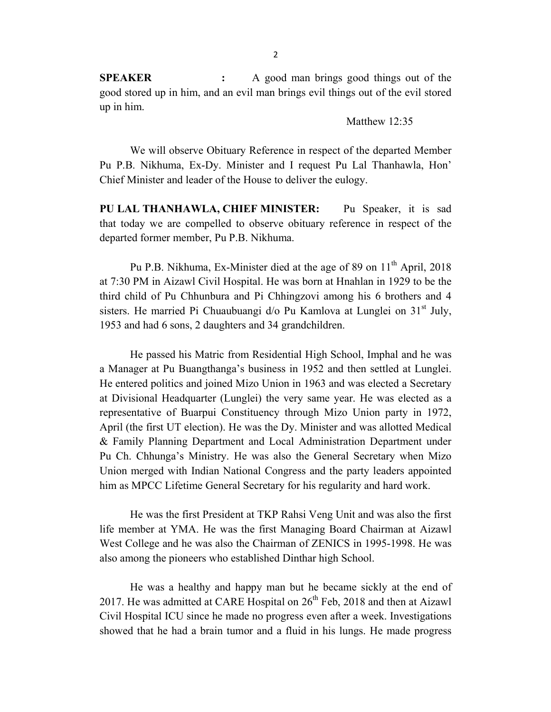**SPEAKER :** A good man brings good things out of the good stored up in him, and an evil man brings evil things out of the evil stored up in him.

Matthew 12:35

We will observe Obituary Reference in respect of the departed Member Pu P.B. Nikhuma, Ex-Dy. Minister and I request Pu Lal Thanhawla, Hon' Chief Minister and leader of the House to deliver the eulogy.

**PU LAL THANHAWLA, CHIEF MINISTER:** Pu Speaker, it is sad that today we are compelled to observe obituary reference in respect of the departed former member, Pu P.B. Nikhuma.

Pu P.B. Nikhuma, Ex-Minister died at the age of 89 on  $11<sup>th</sup>$  April, 2018 at 7:30 PM in Aizawl Civil Hospital. He was born at Hnahlan in 1929 to be the third child of Pu Chhunbura and Pi Chhingzovi among his 6 brothers and 4 sisters. He married Pi Chuaubuangi  $d$  Pu Kamlova at Lunglei on  $31<sup>st</sup>$  July, 1953 and had 6 sons, 2 daughters and 34 grandchildren.

He passed his Matric from Residential High School, Imphal and he was a Manager at Pu Buangthanga's business in 1952 and then settled at Lunglei. He entered politics and joined Mizo Union in 1963 and was elected a Secretary at Divisional Headquarter (Lunglei) the very same year. He was elected as a representative of Buarpui Constituency through Mizo Union party in 1972, April (the first UT election). He was the Dy. Minister and was allotted Medical & Family Planning Department and Local Administration Department under Pu Ch. Chhunga's Ministry. He was also the General Secretary when Mizo Union merged with Indian National Congress and the party leaders appointed him as MPCC Lifetime General Secretary for his regularity and hard work.

He was the first President at TKP Rahsi Veng Unit and was also the first life member at YMA. He was the first Managing Board Chairman at Aizawl West College and he was also the Chairman of ZENICS in 1995-1998. He was also among the pioneers who established Dinthar high School.

He was a healthy and happy man but he became sickly at the end of 2017. He was admitted at CARE Hospital on  $26<sup>th</sup>$  Feb, 2018 and then at Aizawl Civil Hospital ICU since he made no progress even after a week. Investigations showed that he had a brain tumor and a fluid in his lungs. He made progress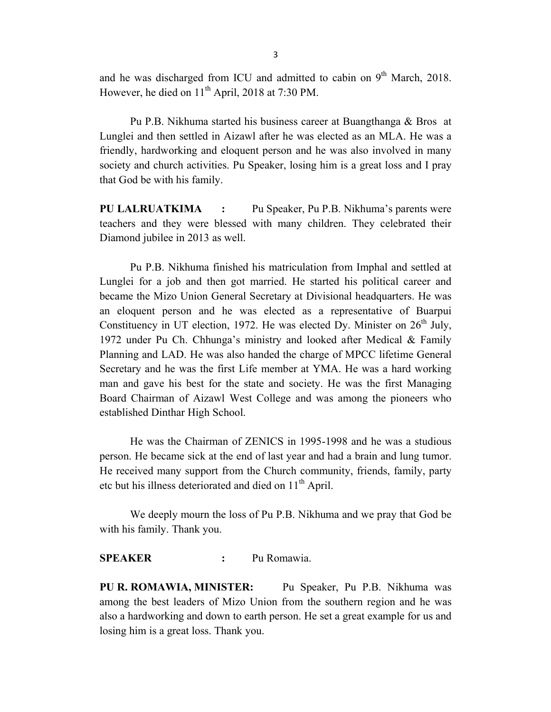and he was discharged from ICU and admitted to cabin on  $9<sup>th</sup>$  March, 2018. However, he died on  $11<sup>th</sup>$  April, 2018 at 7:30 PM.

Pu P.B. Nikhuma started his business career at Buangthanga & Bros at Lunglei and then settled in Aizawl after he was elected as an MLA. He was a friendly, hardworking and eloquent person and he was also involved in many society and church activities. Pu Speaker, losing him is a great loss and I pray that God be with his family.

**PU LALRUATKIMA :** Pu Speaker, Pu P.B. Nikhuma's parents were teachers and they were blessed with many children. They celebrated their Diamond jubilee in 2013 as well.

Pu P.B. Nikhuma finished his matriculation from Imphal and settled at Lunglei for a job and then got married. He started his political career and became the Mizo Union General Secretary at Divisional headquarters. He was an eloquent person and he was elected as a representative of Buarpui Constituency in UT election, 1972. He was elected Dy. Minister on  $26<sup>th</sup>$  July, 1972 under Pu Ch. Chhunga's ministry and looked after Medical & Family Planning and LAD. He was also handed the charge of MPCC lifetime General Secretary and he was the first Life member at YMA. He was a hard working man and gave his best for the state and society. He was the first Managing Board Chairman of Aizawl West College and was among the pioneers who established Dinthar High School.

He was the Chairman of ZENICS in 1995-1998 and he was a studious person. He became sick at the end of last year and had a brain and lung tumor. He received many support from the Church community, friends, family, party etc but his illness deteriorated and died on 11<sup>th</sup> April.

We deeply mourn the loss of Pu P.B. Nikhuma and we pray that God be with his family. Thank you.

## **SPEAKER :** Pu Romawia.

**PU R. ROMAWIA, MINISTER:** Pu Speaker, Pu P.B. Nikhuma was among the best leaders of Mizo Union from the southern region and he was also a hardworking and down to earth person. He set a great example for us and losing him is a great loss. Thank you.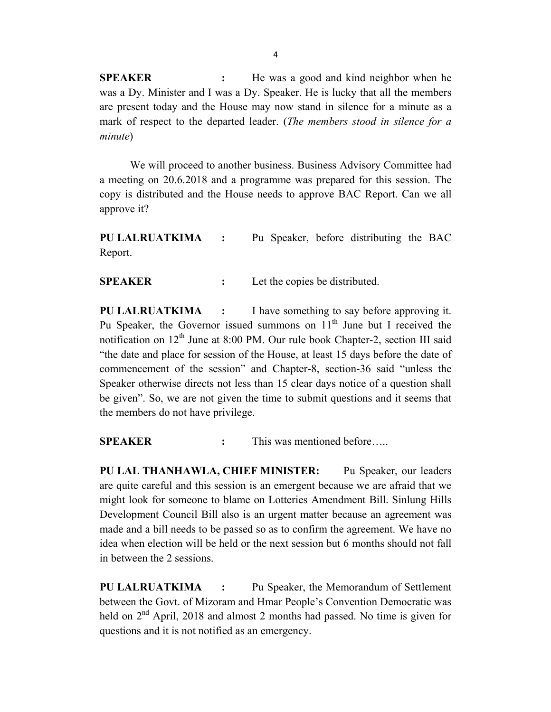**SPEAKER :** He was a good and kind neighbor when he was a Dy. Minister and I was a Dy. Speaker. He is lucky that all the members are present today and the House may now stand in silence for a minute as a mark of respect to the departed leader. (*The members stood in silence for a minute*)

We will proceed to another business. Business Advisory Committee had a meeting on 20.6.2018 and a programme was prepared for this session. The copy is distributed and the House needs to approve BAC Report. Can we all approve it?

**PU LALRUATKIMA :** Pu Speaker, before distributing the BAC Report.

**SPEAKER :** Let the copies be distributed.

**PU LALRUATKIMA :** I have something to say before approving it. Pu Speaker, the Governor issued summons on  $11<sup>th</sup>$  June but I received the notification on  $12^{th}$  June at 8:00 PM. Our rule book Chapter-2, section III said "the date and place for session of the House, at least 15 days before the date of commencement of the session" and Chapter-8, section-36 said "unless the Speaker otherwise directs not less than 15 clear days notice of a question shall be given". So, we are not given the time to submit questions and it seems that the members do not have privilege.

**SPEAKER :** This was mentioned before…..

**PU LAL THANHAWLA, CHIEF MINISTER:** Pu Speaker, our leaders are quite careful and this session is an emergent because we are afraid that we might look for someone to blame on Lotteries Amendment Bill. Sinlung Hills Development Council Bill also is an urgent matter because an agreement was made and a bill needs to be passed so as to confirm the agreement. We have no idea when election will be held or the next session but 6 months should not fall in between the 2 sessions.

**PU LALRUATKIMA :** Pu Speaker, the Memorandum of Settlement between the Govt. of Mizoram and Hmar People's Convention Democratic was held on  $2<sup>nd</sup>$  April, 2018 and almost 2 months had passed. No time is given for questions and it is not notified as an emergency.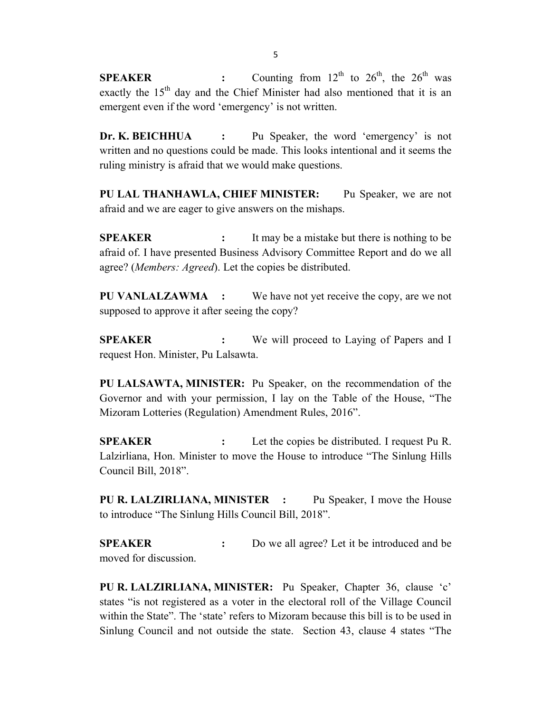**SPEAKER :** Counting from  $12^{th}$  to  $26^{th}$ , the  $26^{th}$  was exactly the  $15<sup>th</sup>$  day and the Chief Minister had also mentioned that it is an emergent even if the word 'emergency' is not written.

**Dr. K. BEICHHUA :** Pu Speaker, the word 'emergency' is not written and no questions could be made. This looks intentional and it seems the ruling ministry is afraid that we would make questions.

**PU LAL THANHAWLA, CHIEF MINISTER:** Pu Speaker, we are not afraid and we are eager to give answers on the mishaps.

**SPEAKER :** It may be a mistake but there is nothing to be afraid of. I have presented Business Advisory Committee Report and do we all agree? (*Members: Agreed*). Let the copies be distributed.

**PU VANLALZAWMA :** We have not yet receive the copy, are we not supposed to approve it after seeing the copy?

**SPEAKER :** We will proceed to Laying of Papers and I request Hon. Minister, Pu Lalsawta.

**PU LALSAWTA, MINISTER:** Pu Speaker, on the recommendation of the Governor and with your permission, I lay on the Table of the House, "The Mizoram Lotteries (Regulation) Amendment Rules, 2016".

**SPEAKER :** Let the copies be distributed. I request Pu R. Lalzirliana, Hon. Minister to move the House to introduce "The Sinlung Hills Council Bill, 2018".

**PU R. LALZIRLIANA, MINISTER :** Pu Speaker, I move the House to introduce "The Sinlung Hills Council Bill, 2018".

**SPEAKER :** Do we all agree? Let it be introduced and be moved for discussion.

**PU R. LALZIRLIANA, MINISTER:** Pu Speaker, Chapter 36, clause 'c' states "is not registered as a voter in the electoral roll of the Village Council within the State". The 'state' refers to Mizoram because this bill is to be used in Sinlung Council and not outside the state. Section 43, clause 4 states "The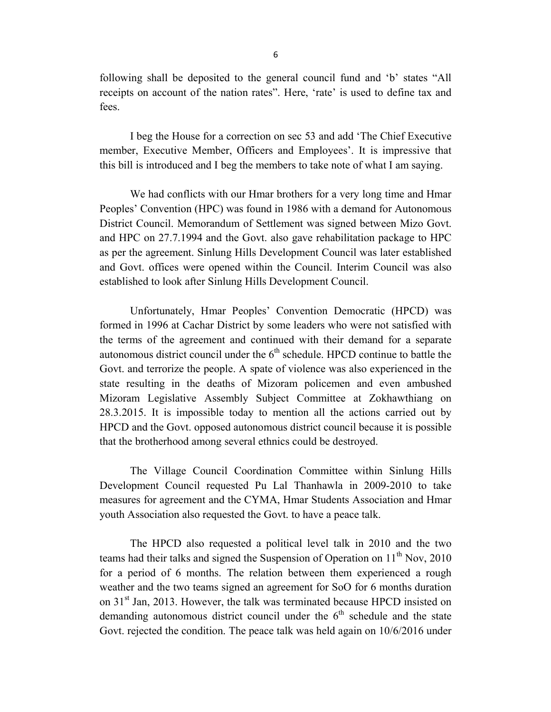following shall be deposited to the general council fund and 'b' states "All receipts on account of the nation rates". Here, 'rate' is used to define tax and fees.

I beg the House for a correction on sec 53 and add 'The Chief Executive member, Executive Member, Officers and Employees'. It is impressive that this bill is introduced and I beg the members to take note of what I am saying.

We had conflicts with our Hmar brothers for a very long time and Hmar Peoples' Convention (HPC) was found in 1986 with a demand for Autonomous District Council. Memorandum of Settlement was signed between Mizo Govt. and HPC on 27.7.1994 and the Govt. also gave rehabilitation package to HPC as per the agreement. Sinlung Hills Development Council was later established and Govt. offices were opened within the Council. Interim Council was also established to look after Sinlung Hills Development Council.

Unfortunately, Hmar Peoples' Convention Democratic (HPCD) was formed in 1996 at Cachar District by some leaders who were not satisfied with the terms of the agreement and continued with their demand for a separate autonomous district council under the  $6<sup>th</sup>$  schedule. HPCD continue to battle the Govt. and terrorize the people. A spate of violence was also experienced in the state resulting in the deaths of Mizoram policemen and even ambushed Mizoram Legislative Assembly Subject Committee at Zokhawthiang on 28.3.2015. It is impossible today to mention all the actions carried out by HPCD and the Govt. opposed autonomous district council because it is possible that the brotherhood among several ethnics could be destroyed.

The Village Council Coordination Committee within Sinlung Hills Development Council requested Pu Lal Thanhawla in 2009-2010 to take measures for agreement and the CYMA, Hmar Students Association and Hmar youth Association also requested the Govt. to have a peace talk.

The HPCD also requested a political level talk in 2010 and the two teams had their talks and signed the Suspension of Operation on 11<sup>th</sup> Nov, 2010 for a period of 6 months. The relation between them experienced a rough weather and the two teams signed an agreement for SoO for 6 months duration on 31<sup>st</sup> Jan, 2013. However, the talk was terminated because HPCD insisted on demanding autonomous district council under the  $6<sup>th</sup>$  schedule and the state Govt. rejected the condition. The peace talk was held again on 10/6/2016 under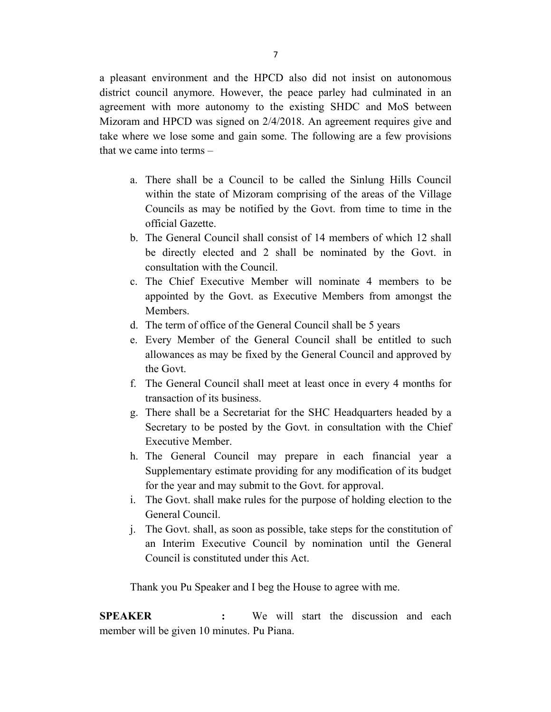a pleasant environment and the HPCD also did not insist on autonomous district council anymore. However, the peace parley had culminated in an agreement with more autonomy to the existing SHDC and MoS between Mizoram and HPCD was signed on 2/4/2018. An agreement requires give and take where we lose some and gain some. The following are a few provisions that we came into terms –

- a. There shall be a Council to be called the Sinlung Hills Council within the state of Mizoram comprising of the areas of the Village Councils as may be notified by the Govt. from time to time in the official Gazette.
- b. The General Council shall consist of 14 members of which 12 shall be directly elected and 2 shall be nominated by the Govt. in consultation with the Council.
- c. The Chief Executive Member will nominate 4 members to be appointed by the Govt. as Executive Members from amongst the Members.
- d. The term of office of the General Council shall be 5 years
- e. Every Member of the General Council shall be entitled to such allowances as may be fixed by the General Council and approved by the Govt.
- f. The General Council shall meet at least once in every 4 months for transaction of its business.
- g. There shall be a Secretariat for the SHC Headquarters headed by a Secretary to be posted by the Govt. in consultation with the Chief Executive Member.
- h. The General Council may prepare in each financial year a Supplementary estimate providing for any modification of its budget for the year and may submit to the Govt. for approval.
- i. The Govt. shall make rules for the purpose of holding election to the General Council.
- j. The Govt. shall, as soon as possible, take steps for the constitution of an Interim Executive Council by nomination until the General Council is constituted under this Act.

Thank you Pu Speaker and I beg the House to agree with me.

**SPEAKER :** We will start the discussion and each member will be given 10 minutes. Pu Piana.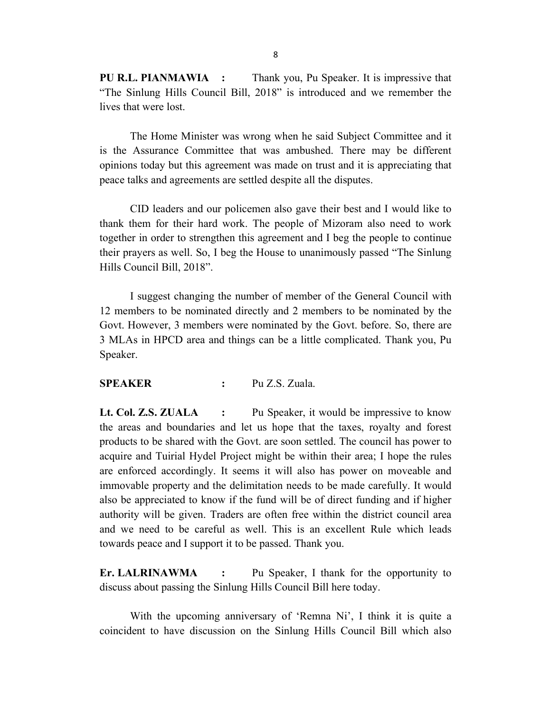**PU R.L. PIANMAWIA :** Thank you, Pu Speaker. It is impressive that "The Sinlung Hills Council Bill, 2018" is introduced and we remember the lives that were lost.

The Home Minister was wrong when he said Subject Committee and it is the Assurance Committee that was ambushed. There may be different opinions today but this agreement was made on trust and it is appreciating that peace talks and agreements are settled despite all the disputes.

CID leaders and our policemen also gave their best and I would like to thank them for their hard work. The people of Mizoram also need to work together in order to strengthen this agreement and I beg the people to continue their prayers as well. So, I beg the House to unanimously passed "The Sinlung Hills Council Bill, 2018".

I suggest changing the number of member of the General Council with 12 members to be nominated directly and 2 members to be nominated by the Govt. However, 3 members were nominated by the Govt. before. So, there are 3 MLAs in HPCD area and things can be a little complicated. Thank you, Pu Speaker.

## **SPEAKER :** Pu Z.S. Zuala.

**Lt. Col. Z.S. ZUALA :** Pu Speaker, it would be impressive to know the areas and boundaries and let us hope that the taxes, royalty and forest products to be shared with the Govt. are soon settled. The council has power to acquire and Tuirial Hydel Project might be within their area; I hope the rules are enforced accordingly. It seems it will also has power on moveable and immovable property and the delimitation needs to be made carefully. It would also be appreciated to know if the fund will be of direct funding and if higher authority will be given. Traders are often free within the district council area and we need to be careful as well. This is an excellent Rule which leads towards peace and I support it to be passed. Thank you.

**Er. LALRINAWMA :** Pu Speaker, I thank for the opportunity to discuss about passing the Sinlung Hills Council Bill here today.

With the upcoming anniversary of 'Remna Ni', I think it is quite a coincident to have discussion on the Sinlung Hills Council Bill which also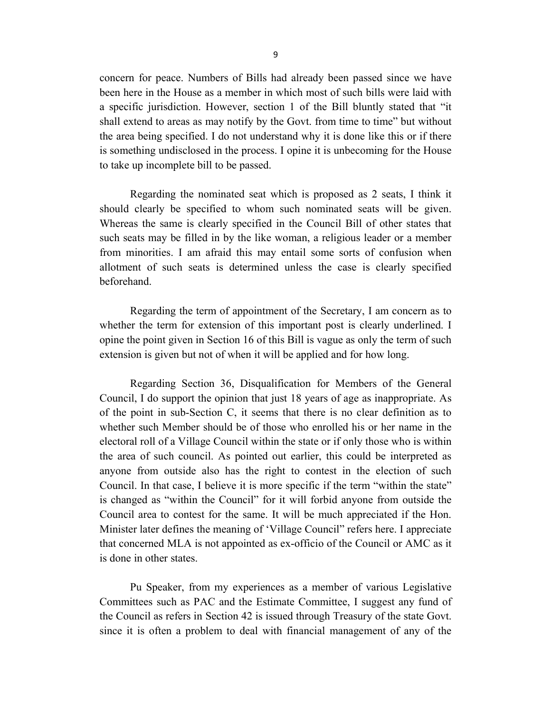concern for peace. Numbers of Bills had already been passed since we have been here in the House as a member in which most of such bills were laid with a specific jurisdiction. However, section 1 of the Bill bluntly stated that "it shall extend to areas as may notify by the Govt. from time to time" but without the area being specified. I do not understand why it is done like this or if there is something undisclosed in the process. I opine it is unbecoming for the House to take up incomplete bill to be passed.

Regarding the nominated seat which is proposed as 2 seats, I think it should clearly be specified to whom such nominated seats will be given. Whereas the same is clearly specified in the Council Bill of other states that such seats may be filled in by the like woman, a religious leader or a member from minorities. I am afraid this may entail some sorts of confusion when allotment of such seats is determined unless the case is clearly specified beforehand.

Regarding the term of appointment of the Secretary, I am concern as to whether the term for extension of this important post is clearly underlined. I opine the point given in Section 16 of this Bill is vague as only the term of such extension is given but not of when it will be applied and for how long.

Regarding Section 36, Disqualification for Members of the General Council, I do support the opinion that just 18 years of age as inappropriate. As of the point in sub-Section C, it seems that there is no clear definition as to whether such Member should be of those who enrolled his or her name in the electoral roll of a Village Council within the state or if only those who is within the area of such council. As pointed out earlier, this could be interpreted as anyone from outside also has the right to contest in the election of such Council. In that case, I believe it is more specific if the term "within the state" is changed as "within the Council" for it will forbid anyone from outside the Council area to contest for the same. It will be much appreciated if the Hon. Minister later defines the meaning of 'Village Council" refers here. I appreciate that concerned MLA is not appointed as ex-officio of the Council or AMC as it is done in other states.

Pu Speaker, from my experiences as a member of various Legislative Committees such as PAC and the Estimate Committee, I suggest any fund of the Council as refers in Section 42 is issued through Treasury of the state Govt. since it is often a problem to deal with financial management of any of the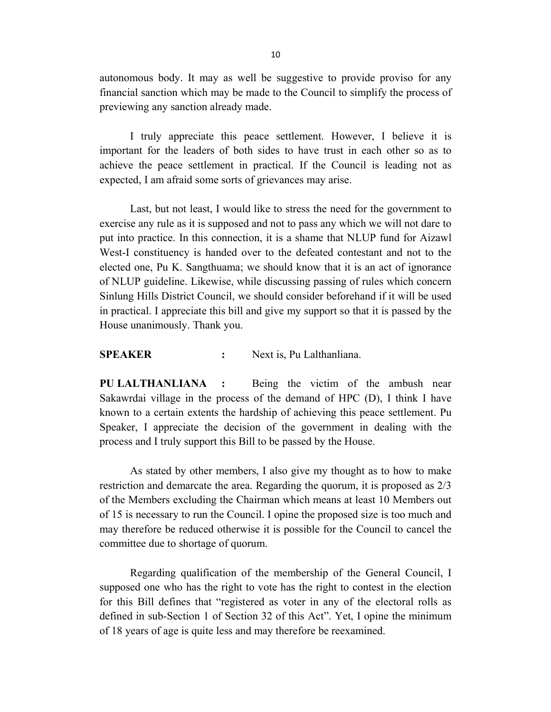autonomous body. It may as well be suggestive to provide proviso for any financial sanction which may be made to the Council to simplify the process of previewing any sanction already made.

I truly appreciate this peace settlement. However, I believe it is important for the leaders of both sides to have trust in each other so as to achieve the peace settlement in practical. If the Council is leading not as expected, I am afraid some sorts of grievances may arise.

Last, but not least, I would like to stress the need for the government to exercise any rule as it is supposed and not to pass any which we will not dare to put into practice. In this connection, it is a shame that NLUP fund for Aizawl West-I constituency is handed over to the defeated contestant and not to the elected one, Pu K. Sangthuama; we should know that it is an act of ignorance of NLUP guideline. Likewise, while discussing passing of rules which concern Sinlung Hills District Council, we should consider beforehand if it will be used in practical. I appreciate this bill and give my support so that it is passed by the House unanimously. Thank you.

**SPEAKER :** Next is, Pu Lalthanliana.

**PU LALTHANLIANA :** Being the victim of the ambush near Sakawrdai village in the process of the demand of HPC (D), I think I have known to a certain extents the hardship of achieving this peace settlement. Pu Speaker, I appreciate the decision of the government in dealing with the process and I truly support this Bill to be passed by the House.

As stated by other members, I also give my thought as to how to make restriction and demarcate the area. Regarding the quorum, it is proposed as 2/3 of the Members excluding the Chairman which means at least 10 Members out of 15 is necessary to run the Council. I opine the proposed size is too much and may therefore be reduced otherwise it is possible for the Council to cancel the committee due to shortage of quorum.

Regarding qualification of the membership of the General Council, I supposed one who has the right to vote has the right to contest in the election for this Bill defines that "registered as voter in any of the electoral rolls as defined in sub-Section 1 of Section 32 of this Act". Yet, I opine the minimum of 18 years of age is quite less and may therefore be reexamined.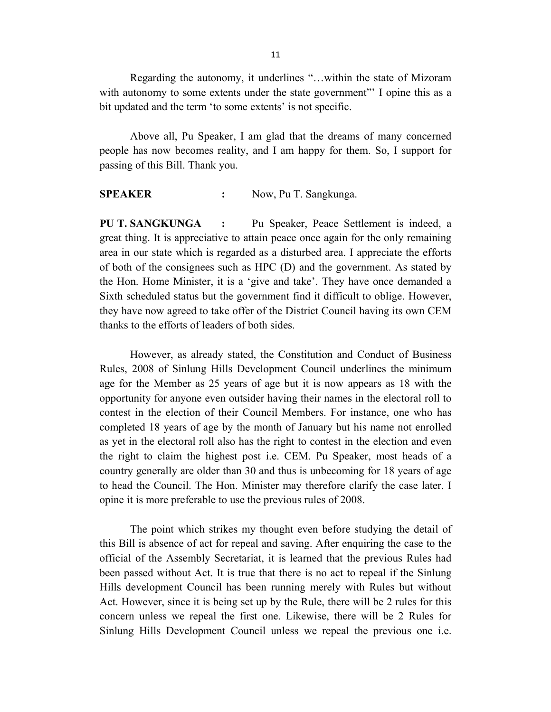Regarding the autonomy, it underlines "…within the state of Mizoram with autonomy to some extents under the state government" I opine this as a bit updated and the term 'to some extents' is not specific.

Above all, Pu Speaker, I am glad that the dreams of many concerned people has now becomes reality, and I am happy for them. So, I support for passing of this Bill. Thank you.

**SPEAKER :** Now, Pu T. Sangkunga.

**PU T. SANGKUNGA :** Pu Speaker, Peace Settlement is indeed, a great thing. It is appreciative to attain peace once again for the only remaining area in our state which is regarded as a disturbed area. I appreciate the efforts of both of the consignees such as HPC (D) and the government. As stated by the Hon. Home Minister, it is a 'give and take'. They have once demanded a Sixth scheduled status but the government find it difficult to oblige. However, they have now agreed to take offer of the District Council having its own CEM thanks to the efforts of leaders of both sides.

However, as already stated, the Constitution and Conduct of Business Rules, 2008 of Sinlung Hills Development Council underlines the minimum age for the Member as 25 years of age but it is now appears as 18 with the opportunity for anyone even outsider having their names in the electoral roll to contest in the election of their Council Members. For instance, one who has completed 18 years of age by the month of January but his name not enrolled as yet in the electoral roll also has the right to contest in the election and even the right to claim the highest post i.e. CEM. Pu Speaker, most heads of a country generally are older than 30 and thus is unbecoming for 18 years of age to head the Council. The Hon. Minister may therefore clarify the case later. I opine it is more preferable to use the previous rules of 2008.

The point which strikes my thought even before studying the detail of this Bill is absence of act for repeal and saving. After enquiring the case to the official of the Assembly Secretariat, it is learned that the previous Rules had been passed without Act. It is true that there is no act to repeal if the Sinlung Hills development Council has been running merely with Rules but without Act. However, since it is being set up by the Rule, there will be 2 rules for this concern unless we repeal the first one. Likewise, there will be 2 Rules for Sinlung Hills Development Council unless we repeal the previous one i.e.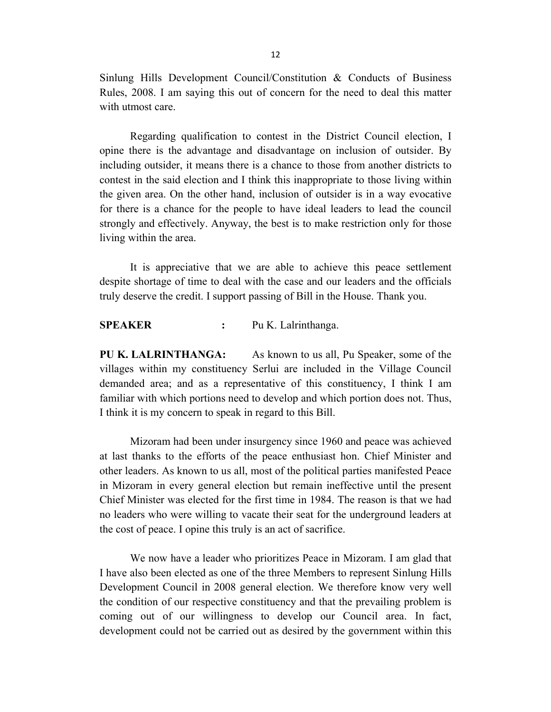Sinlung Hills Development Council/Constitution & Conducts of Business Rules, 2008. I am saying this out of concern for the need to deal this matter with utmost care.

Regarding qualification to contest in the District Council election, I opine there is the advantage and disadvantage on inclusion of outsider. By including outsider, it means there is a chance to those from another districts to contest in the said election and I think this inappropriate to those living within the given area. On the other hand, inclusion of outsider is in a way evocative for there is a chance for the people to have ideal leaders to lead the council strongly and effectively. Anyway, the best is to make restriction only for those living within the area.

It is appreciative that we are able to achieve this peace settlement despite shortage of time to deal with the case and our leaders and the officials truly deserve the credit. I support passing of Bill in the House. Thank you.

**SPEAKER :** Pu K. Lalrinthanga.

**PU K. LALRINTHANGA:** As known to us all, Pu Speaker, some of the villages within my constituency Serlui are included in the Village Council demanded area; and as a representative of this constituency, I think I am familiar with which portions need to develop and which portion does not. Thus, I think it is my concern to speak in regard to this Bill.

Mizoram had been under insurgency since 1960 and peace was achieved at last thanks to the efforts of the peace enthusiast hon. Chief Minister and other leaders. As known to us all, most of the political parties manifested Peace in Mizoram in every general election but remain ineffective until the present Chief Minister was elected for the first time in 1984. The reason is that we had no leaders who were willing to vacate their seat for the underground leaders at the cost of peace. I opine this truly is an act of sacrifice.

We now have a leader who prioritizes Peace in Mizoram. I am glad that I have also been elected as one of the three Members to represent Sinlung Hills Development Council in 2008 general election. We therefore know very well the condition of our respective constituency and that the prevailing problem is coming out of our willingness to develop our Council area. In fact, development could not be carried out as desired by the government within this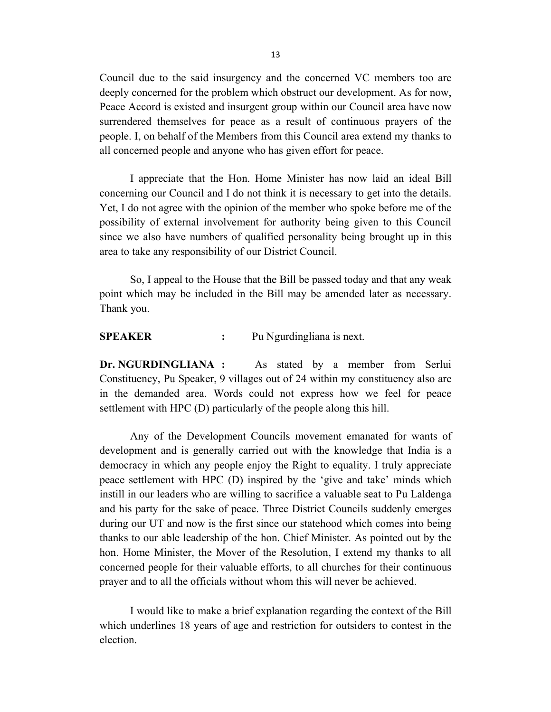Council due to the said insurgency and the concerned VC members too are deeply concerned for the problem which obstruct our development. As for now, Peace Accord is existed and insurgent group within our Council area have now surrendered themselves for peace as a result of continuous prayers of the people. I, on behalf of the Members from this Council area extend my thanks to all concerned people and anyone who has given effort for peace.

I appreciate that the Hon. Home Minister has now laid an ideal Bill concerning our Council and I do not think it is necessary to get into the details. Yet, I do not agree with the opinion of the member who spoke before me of the possibility of external involvement for authority being given to this Council since we also have numbers of qualified personality being brought up in this area to take any responsibility of our District Council.

So, I appeal to the House that the Bill be passed today and that any weak point which may be included in the Bill may be amended later as necessary. Thank you.

**SPEAKER :** Pu Ngurdingliana is next.

**Dr. NGURDINGLIANA :** As stated by a member from Serlui Constituency, Pu Speaker, 9 villages out of 24 within my constituency also are in the demanded area. Words could not express how we feel for peace settlement with HPC (D) particularly of the people along this hill.

Any of the Development Councils movement emanated for wants of development and is generally carried out with the knowledge that India is a democracy in which any people enjoy the Right to equality. I truly appreciate peace settlement with HPC (D) inspired by the 'give and take' minds which instill in our leaders who are willing to sacrifice a valuable seat to Pu Laldenga and his party for the sake of peace. Three District Councils suddenly emerges during our UT and now is the first since our statehood which comes into being thanks to our able leadership of the hon. Chief Minister. As pointed out by the hon. Home Minister, the Mover of the Resolution, I extend my thanks to all concerned people for their valuable efforts, to all churches for their continuous prayer and to all the officials without whom this will never be achieved.

I would like to make a brief explanation regarding the context of the Bill which underlines 18 years of age and restriction for outsiders to contest in the election.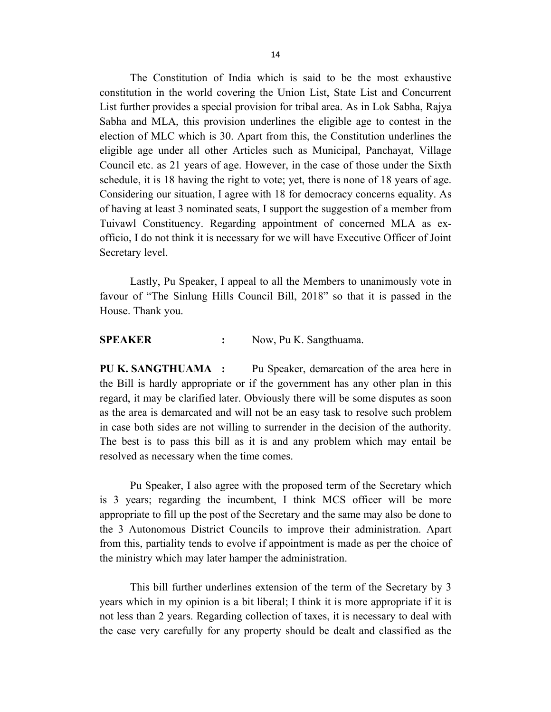The Constitution of India which is said to be the most exhaustive constitution in the world covering the Union List, State List and Concurrent List further provides a special provision for tribal area. As in Lok Sabha, Rajya Sabha and MLA, this provision underlines the eligible age to contest in the election of MLC which is 30. Apart from this, the Constitution underlines the eligible age under all other Articles such as Municipal, Panchayat, Village Council etc. as 21 years of age. However, in the case of those under the Sixth schedule, it is 18 having the right to vote; yet, there is none of 18 years of age. Considering our situation, I agree with 18 for democracy concerns equality. As of having at least 3 nominated seats, I support the suggestion of a member from Tuivawl Constituency. Regarding appointment of concerned MLA as exofficio, I do not think it is necessary for we will have Executive Officer of Joint Secretary level.

Lastly, Pu Speaker, I appeal to all the Members to unanimously vote in favour of "The Sinlung Hills Council Bill, 2018" so that it is passed in the House. Thank you.

**SPEAKER :** Now, Pu K. Sangthuama.

**PU K. SANGTHUAMA :** Pu Speaker, demarcation of the area here in the Bill is hardly appropriate or if the government has any other plan in this regard, it may be clarified later. Obviously there will be some disputes as soon as the area is demarcated and will not be an easy task to resolve such problem in case both sides are not willing to surrender in the decision of the authority. The best is to pass this bill as it is and any problem which may entail be resolved as necessary when the time comes.

Pu Speaker, I also agree with the proposed term of the Secretary which is 3 years; regarding the incumbent, I think MCS officer will be more appropriate to fill up the post of the Secretary and the same may also be done to the 3 Autonomous District Councils to improve their administration. Apart from this, partiality tends to evolve if appointment is made as per the choice of the ministry which may later hamper the administration.

This bill further underlines extension of the term of the Secretary by 3 years which in my opinion is a bit liberal; I think it is more appropriate if it is not less than 2 years. Regarding collection of taxes, it is necessary to deal with the case very carefully for any property should be dealt and classified as the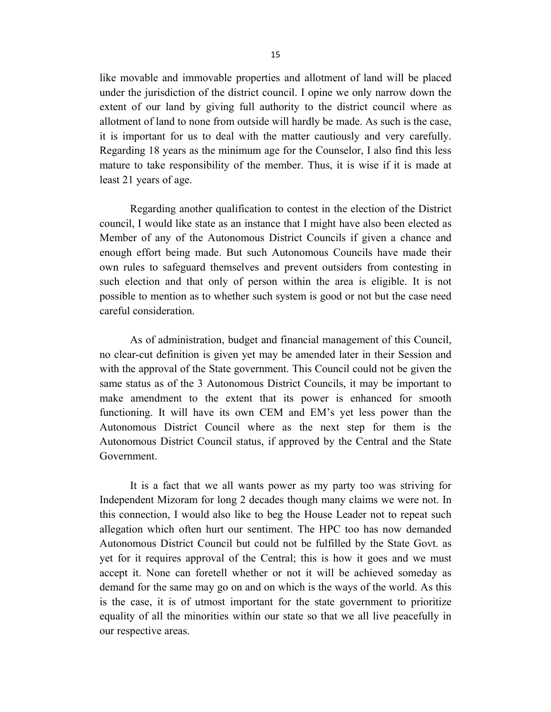like movable and immovable properties and allotment of land will be placed under the jurisdiction of the district council. I opine we only narrow down the extent of our land by giving full authority to the district council where as allotment of land to none from outside will hardly be made. As such is the case, it is important for us to deal with the matter cautiously and very carefully. Regarding 18 years as the minimum age for the Counselor, I also find this less mature to take responsibility of the member. Thus, it is wise if it is made at least 21 years of age.

Regarding another qualification to contest in the election of the District council, I would like state as an instance that I might have also been elected as Member of any of the Autonomous District Councils if given a chance and enough effort being made. But such Autonomous Councils have made their own rules to safeguard themselves and prevent outsiders from contesting in such election and that only of person within the area is eligible. It is not possible to mention as to whether such system is good or not but the case need careful consideration.

As of administration, budget and financial management of this Council, no clear-cut definition is given yet may be amended later in their Session and with the approval of the State government. This Council could not be given the same status as of the 3 Autonomous District Councils, it may be important to make amendment to the extent that its power is enhanced for smooth functioning. It will have its own CEM and EM's yet less power than the Autonomous District Council where as the next step for them is the Autonomous District Council status, if approved by the Central and the State Government.

It is a fact that we all wants power as my party too was striving for Independent Mizoram for long 2 decades though many claims we were not. In this connection, I would also like to beg the House Leader not to repeat such allegation which often hurt our sentiment. The HPC too has now demanded Autonomous District Council but could not be fulfilled by the State Govt. as yet for it requires approval of the Central; this is how it goes and we must accept it. None can foretell whether or not it will be achieved someday as demand for the same may go on and on which is the ways of the world. As this is the case, it is of utmost important for the state government to prioritize equality of all the minorities within our state so that we all live peacefully in our respective areas.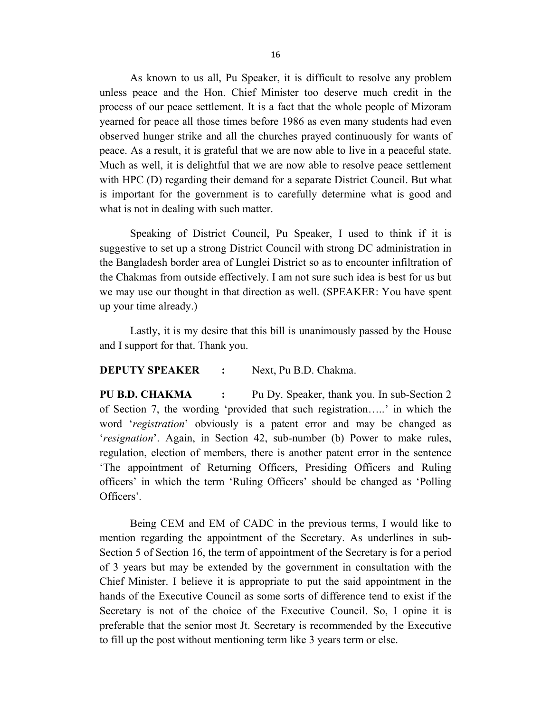As known to us all, Pu Speaker, it is difficult to resolve any problem unless peace and the Hon. Chief Minister too deserve much credit in the process of our peace settlement. It is a fact that the whole people of Mizoram yearned for peace all those times before 1986 as even many students had even observed hunger strike and all the churches prayed continuously for wants of peace. As a result, it is grateful that we are now able to live in a peaceful state. Much as well, it is delightful that we are now able to resolve peace settlement with HPC (D) regarding their demand for a separate District Council. But what is important for the government is to carefully determine what is good and what is not in dealing with such matter.

Speaking of District Council, Pu Speaker, I used to think if it is suggestive to set up a strong District Council with strong DC administration in the Bangladesh border area of Lunglei District so as to encounter infiltration of the Chakmas from outside effectively. I am not sure such idea is best for us but we may use our thought in that direction as well. (SPEAKER: You have spent up your time already.)

Lastly, it is my desire that this bill is unanimously passed by the House and I support for that. Thank you.

### **DEPUTY SPEAKER :** Next, Pu B.D. Chakma.

**PU B.D. CHAKMA :** Pu Dy. Speaker, thank you. In sub-Section 2 of Section 7, the wording 'provided that such registration…..' in which the word '*registration*' obviously is a patent error and may be changed as '*resignation*'. Again, in Section 42, sub-number (b) Power to make rules, regulation, election of members, there is another patent error in the sentence 'The appointment of Returning Officers, Presiding Officers and Ruling officers' in which the term 'Ruling Officers' should be changed as 'Polling Officers'*.*

Being CEM and EM of CADC in the previous terms, I would like to mention regarding the appointment of the Secretary. As underlines in sub-Section 5 of Section 16, the term of appointment of the Secretary is for a period of 3 years but may be extended by the government in consultation with the Chief Minister. I believe it is appropriate to put the said appointment in the hands of the Executive Council as some sorts of difference tend to exist if the Secretary is not of the choice of the Executive Council. So, I opine it is preferable that the senior most Jt. Secretary is recommended by the Executive to fill up the post without mentioning term like 3 years term or else.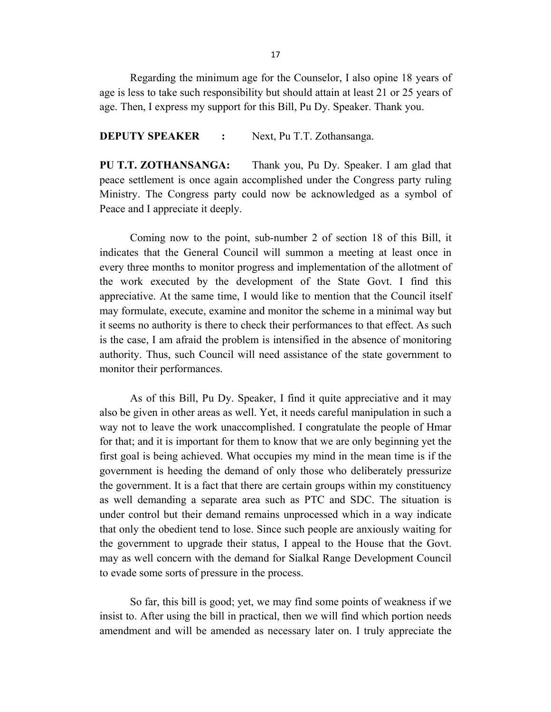Regarding the minimum age for the Counselor, I also opine 18 years of age is less to take such responsibility but should attain at least 21 or 25 years of age. Then, I express my support for this Bill, Pu Dy. Speaker. Thank you.

#### **DEPUTY SPEAKER :** Next, Pu T.T. Zothansanga.

**PU T.T. ZOTHANSANGA:** Thank you, Pu Dy. Speaker. I am glad that peace settlement is once again accomplished under the Congress party ruling Ministry. The Congress party could now be acknowledged as a symbol of Peace and I appreciate it deeply.

Coming now to the point, sub-number 2 of section 18 of this Bill, it indicates that the General Council will summon a meeting at least once in every three months to monitor progress and implementation of the allotment of the work executed by the development of the State Govt. I find this appreciative. At the same time, I would like to mention that the Council itself may formulate, execute, examine and monitor the scheme in a minimal way but it seems no authority is there to check their performances to that effect. As such is the case, I am afraid the problem is intensified in the absence of monitoring authority. Thus, such Council will need assistance of the state government to monitor their performances.

As of this Bill, Pu Dy. Speaker, I find it quite appreciative and it may also be given in other areas as well. Yet, it needs careful manipulation in such a way not to leave the work unaccomplished. I congratulate the people of Hmar for that; and it is important for them to know that we are only beginning yet the first goal is being achieved. What occupies my mind in the mean time is if the government is heeding the demand of only those who deliberately pressurize the government. It is a fact that there are certain groups within my constituency as well demanding a separate area such as PTC and SDC. The situation is under control but their demand remains unprocessed which in a way indicate that only the obedient tend to lose. Since such people are anxiously waiting for the government to upgrade their status, I appeal to the House that the Govt. may as well concern with the demand for Sialkal Range Development Council to evade some sorts of pressure in the process.

So far, this bill is good; yet, we may find some points of weakness if we insist to. After using the bill in practical, then we will find which portion needs amendment and will be amended as necessary later on. I truly appreciate the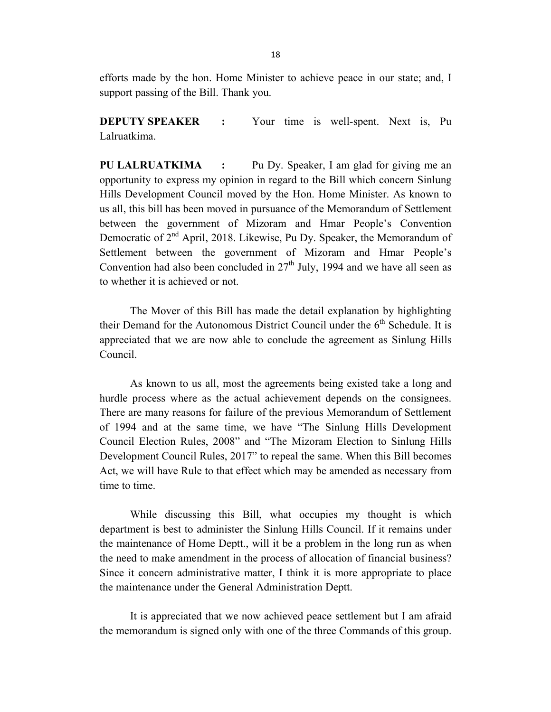efforts made by the hon. Home Minister to achieve peace in our state; and, I support passing of the Bill. Thank you.

**DEPUTY SPEAKER :** Your time is well-spent. Next is, Pu Lalruatkima.

**PU LALRUATKIMA :** Pu Dy. Speaker, I am glad for giving me an opportunity to express my opinion in regard to the Bill which concern Sinlung Hills Development Council moved by the Hon. Home Minister. As known to us all, this bill has been moved in pursuance of the Memorandum of Settlement between the government of Mizoram and Hmar People's Convention Democratic of  $2<sup>nd</sup>$  April, 2018. Likewise, Pu Dy. Speaker, the Memorandum of Settlement between the government of Mizoram and Hmar People's Convention had also been concluded in  $27<sup>th</sup>$  July, 1994 and we have all seen as to whether it is achieved or not.

The Mover of this Bill has made the detail explanation by highlighting their Demand for the Autonomous District Council under the  $6<sup>th</sup>$  Schedule. It is appreciated that we are now able to conclude the agreement as Sinlung Hills Council.

As known to us all, most the agreements being existed take a long and hurdle process where as the actual achievement depends on the consignees. There are many reasons for failure of the previous Memorandum of Settlement of 1994 and at the same time, we have "The Sinlung Hills Development Council Election Rules, 2008" and "The Mizoram Election to Sinlung Hills Development Council Rules, 2017" to repeal the same. When this Bill becomes Act, we will have Rule to that effect which may be amended as necessary from time to time.

While discussing this Bill, what occupies my thought is which department is best to administer the Sinlung Hills Council. If it remains under the maintenance of Home Deptt., will it be a problem in the long run as when the need to make amendment in the process of allocation of financial business? Since it concern administrative matter, I think it is more appropriate to place the maintenance under the General Administration Deptt.

It is appreciated that we now achieved peace settlement but I am afraid the memorandum is signed only with one of the three Commands of this group.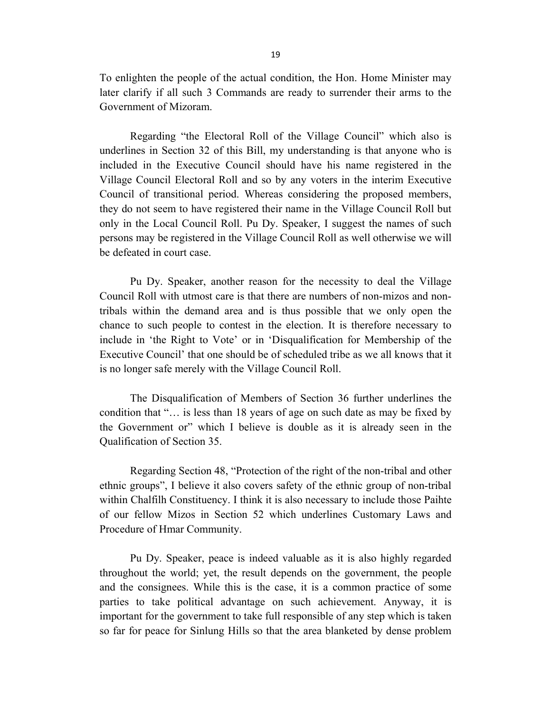To enlighten the people of the actual condition, the Hon. Home Minister may later clarify if all such 3 Commands are ready to surrender their arms to the Government of Mizoram.

Regarding "the Electoral Roll of the Village Council" which also is underlines in Section 32 of this Bill, my understanding is that anyone who is included in the Executive Council should have his name registered in the Village Council Electoral Roll and so by any voters in the interim Executive Council of transitional period. Whereas considering the proposed members, they do not seem to have registered their name in the Village Council Roll but only in the Local Council Roll. Pu Dy. Speaker, I suggest the names of such persons may be registered in the Village Council Roll as well otherwise we will be defeated in court case.

Pu Dy. Speaker, another reason for the necessity to deal the Village Council Roll with utmost care is that there are numbers of non-mizos and nontribals within the demand area and is thus possible that we only open the chance to such people to contest in the election. It is therefore necessary to include in 'the Right to Vote' or in 'Disqualification for Membership of the Executive Council' that one should be of scheduled tribe as we all knows that it is no longer safe merely with the Village Council Roll.

The Disqualification of Members of Section 36 further underlines the condition that "… is less than 18 years of age on such date as may be fixed by the Government or" which I believe is double as it is already seen in the Qualification of Section 35.

Regarding Section 48, "Protection of the right of the non-tribal and other ethnic groups", I believe it also covers safety of the ethnic group of non-tribal within Chalfilh Constituency. I think it is also necessary to include those Paihte of our fellow Mizos in Section 52 which underlines Customary Laws and Procedure of Hmar Community.

Pu Dy. Speaker, peace is indeed valuable as it is also highly regarded throughout the world; yet, the result depends on the government, the people and the consignees. While this is the case, it is a common practice of some parties to take political advantage on such achievement. Anyway, it is important for the government to take full responsible of any step which is taken so far for peace for Sinlung Hills so that the area blanketed by dense problem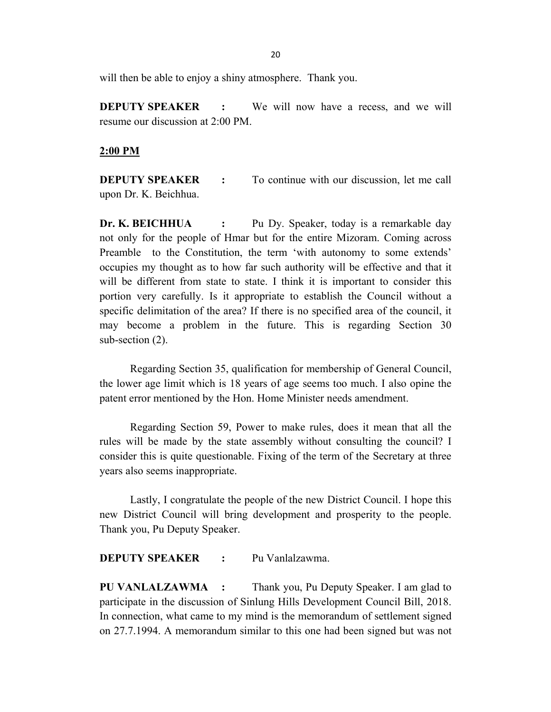will then be able to enjoy a shiny atmosphere. Thank you.

**DEPUTY SPEAKER :** We will now have a recess, and we will resume our discussion at 2:00 PM.

### **2:00 PM**

**DEPUTY SPEAKER :** To continue with our discussion, let me call upon Dr. K. Beichhua.

**Dr. K. BEICHHUA :** Pu Dy. Speaker, today is a remarkable day not only for the people of Hmar but for the entire Mizoram. Coming across Preamble to the Constitution, the term 'with autonomy to some extends' occupies my thought as to how far such authority will be effective and that it will be different from state to state. I think it is important to consider this portion very carefully. Is it appropriate to establish the Council without a specific delimitation of the area? If there is no specified area of the council, it may become a problem in the future. This is regarding Section 30 sub-section (2).

Regarding Section 35, qualification for membership of General Council, the lower age limit which is 18 years of age seems too much. I also opine the patent error mentioned by the Hon. Home Minister needs amendment.

Regarding Section 59, Power to make rules, does it mean that all the rules will be made by the state assembly without consulting the council? I consider this is quite questionable. Fixing of the term of the Secretary at three years also seems inappropriate.

Lastly, I congratulate the people of the new District Council. I hope this new District Council will bring development and prosperity to the people. Thank you, Pu Deputy Speaker.

**DEPUTY SPEAKER :** Pu Vanlalzawma.

**PU VANLALZAWMA :** Thank you, Pu Deputy Speaker. I am glad to participate in the discussion of Sinlung Hills Development Council Bill, 2018. In connection, what came to my mind is the memorandum of settlement signed on 27.7.1994. A memorandum similar to this one had been signed but was not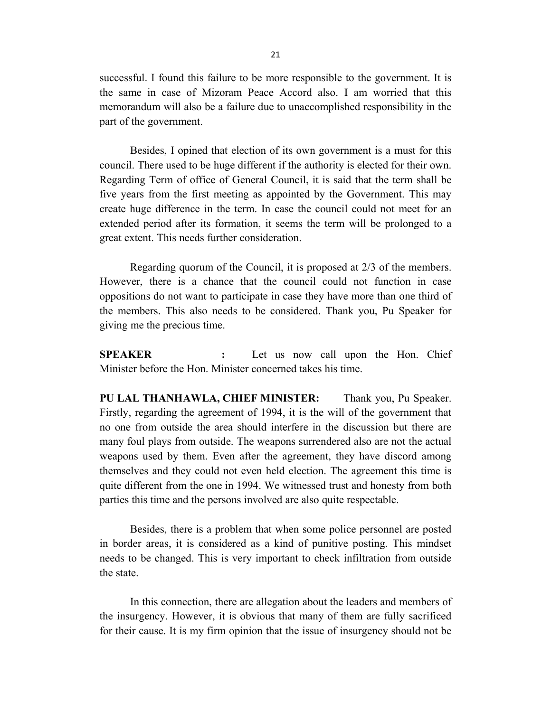successful. I found this failure to be more responsible to the government. It is the same in case of Mizoram Peace Accord also. I am worried that this memorandum will also be a failure due to unaccomplished responsibility in the part of the government.

Besides, I opined that election of its own government is a must for this council. There used to be huge different if the authority is elected for their own. Regarding Term of office of General Council, it is said that the term shall be five years from the first meeting as appointed by the Government. This may create huge difference in the term. In case the council could not meet for an extended period after its formation, it seems the term will be prolonged to a great extent. This needs further consideration.

Regarding quorum of the Council, it is proposed at 2/3 of the members. However, there is a chance that the council could not function in case oppositions do not want to participate in case they have more than one third of the members. This also needs to be considered. Thank you, Pu Speaker for giving me the precious time.

**SPEAKER :** Let us now call upon the Hon. Chief Minister before the Hon. Minister concerned takes his time.

**PU LAL THANHAWLA, CHIEF MINISTER:** Thank you, Pu Speaker. Firstly, regarding the agreement of 1994, it is the will of the government that no one from outside the area should interfere in the discussion but there are many foul plays from outside. The weapons surrendered also are not the actual weapons used by them. Even after the agreement, they have discord among themselves and they could not even held election. The agreement this time is quite different from the one in 1994. We witnessed trust and honesty from both parties this time and the persons involved are also quite respectable.

Besides, there is a problem that when some police personnel are posted in border areas, it is considered as a kind of punitive posting. This mindset needs to be changed. This is very important to check infiltration from outside the state.

In this connection, there are allegation about the leaders and members of the insurgency. However, it is obvious that many of them are fully sacrificed for their cause. It is my firm opinion that the issue of insurgency should not be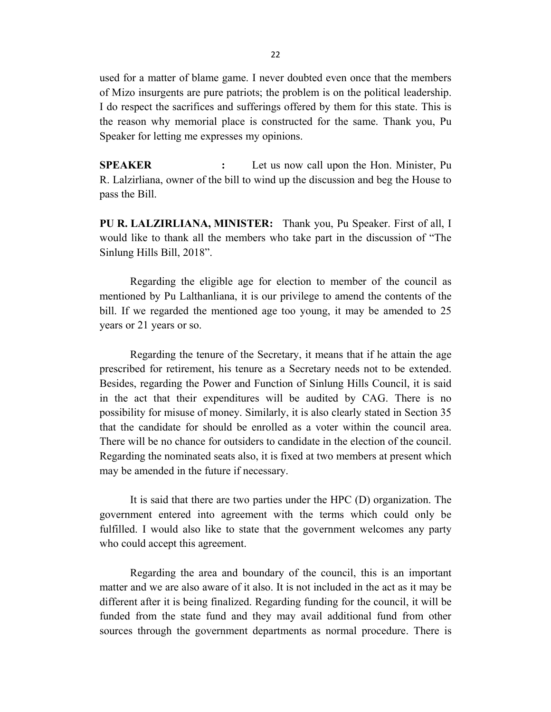used for a matter of blame game. I never doubted even once that the members of Mizo insurgents are pure patriots; the problem is on the political leadership. I do respect the sacrifices and sufferings offered by them for this state. This is the reason why memorial place is constructed for the same. Thank you, Pu Speaker for letting me expresses my opinions.

**SPEAKER :** Let us now call upon the Hon. Minister, Pu R. Lalzirliana, owner of the bill to wind up the discussion and beg the House to pass the Bill.

**PU R. LALZIRLIANA, MINISTER:** Thank you, Pu Speaker. First of all, I would like to thank all the members who take part in the discussion of "The Sinlung Hills Bill, 2018".

Regarding the eligible age for election to member of the council as mentioned by Pu Lalthanliana, it is our privilege to amend the contents of the bill. If we regarded the mentioned age too young, it may be amended to 25 years or 21 years or so.

Regarding the tenure of the Secretary, it means that if he attain the age prescribed for retirement, his tenure as a Secretary needs not to be extended. Besides, regarding the Power and Function of Sinlung Hills Council, it is said in the act that their expenditures will be audited by CAG. There is no possibility for misuse of money. Similarly, it is also clearly stated in Section 35 that the candidate for should be enrolled as a voter within the council area. There will be no chance for outsiders to candidate in the election of the council. Regarding the nominated seats also, it is fixed at two members at present which may be amended in the future if necessary.

It is said that there are two parties under the HPC (D) organization. The government entered into agreement with the terms which could only be fulfilled. I would also like to state that the government welcomes any party who could accept this agreement.

Regarding the area and boundary of the council, this is an important matter and we are also aware of it also. It is not included in the act as it may be different after it is being finalized. Regarding funding for the council, it will be funded from the state fund and they may avail additional fund from other sources through the government departments as normal procedure. There is